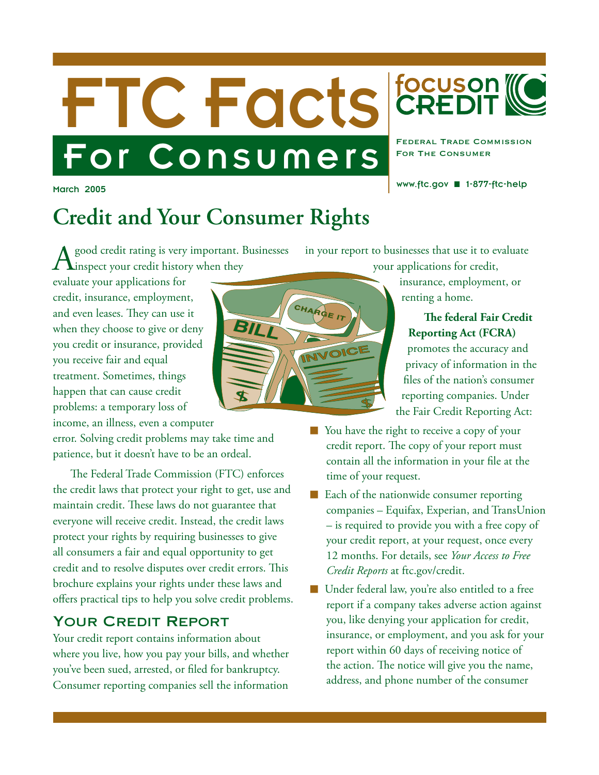# FTC Facts For Consumer For The Commission



For The Consumer

www.ftc.gov ■ 1-877-ftc-help

March 2005

## **Credit and Your Consumer Rights**

good credit rating is very important. Businesses inspect your credit history when they

evaluate your applications for credit, insurance, employment, and even leases. They can use it when they choose to give or deny you credit or insurance, provided you receive fair and equal treatment. Sometimes, things happen that can cause credit problems: a temporary loss of

income, an illness, even a computer

error. Solving credit problems may take time and patience, but it doesn't have to be an ordeal.

The Federal Trade Commission (FTC) enforces the credit laws that protect your right to get, use and maintain credit. These laws do not guarantee that everyone will receive credit. Instead, the credit laws protect your rights by requiring businesses to give all consumers a fair and equal opportunity to get credit and to resolve disputes over credit errors. This brochure explains your rights under these laws and offers practical tips to help you solve credit problems.

#### Your Credit Report

Your credit report contains information about where you live, how you pay your bills, and whether you've been sued, arrested, or filed for bankruptcy. Consumer reporting companies sell the information



in your report to businesses that use it to evaluate

your applications for credit,

insurance, employment, or renting a home.

#### **The federal Fair Credit Reporting Act (FCRA)**

promotes the accuracy and privacy of information in the files of the nation's consumer reporting companies. Under the Fair Credit Reporting Act:

- You have the right to receive a copy of your credit report. The copy of your report must contain all the information in your file at the time of your request.
- Each of the nationwide consumer reporting companies – Equifax, Experian, and TransUnion – is required to provide you with a free copy of your credit report, at your request, once every 12 months. For details, see *Your Access to Free Credit Reports* at ftc.gov/credit.
- Under federal law, you're also entitled to a free report if a company takes adverse action against you, like denying your application for credit, insurance, or employment, and you ask for your report within 60 days of receiving notice of the action. The notice will give you the name, address, and phone number of the consumer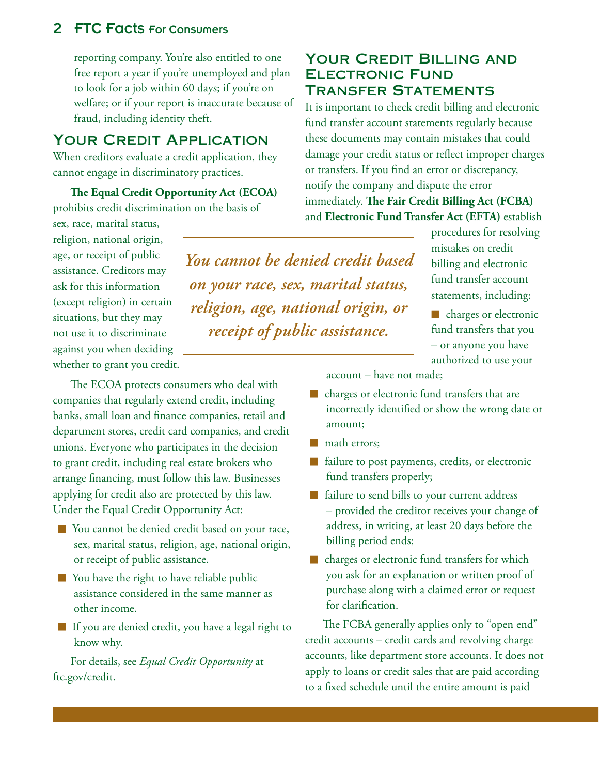#### 2 FTC Facts For Consumers

reporting company. You're also entitled to one free report a year if you're unemployed and plan to look for a job within 60 days; if you're on welfare; or if your report is inaccurate because of fraud, including identity theft.

#### YOUR CREDIT APPLICATION

When creditors evaluate a credit application, they cannot engage in discriminatory practices.

**The Equal Credit Opportunity Act (ECOA)** prohibits credit discrimination on the basis of

sex, race, marital status, religion, national origin, age, or receipt of public assistance. Creditors may ask for this information (except religion) in certain situations, but they may not use it to discriminate against you when deciding whether to grant you credit.

The ECOA protects consumers who deal with companies that regularly extend credit, including banks, small loan and finance companies, retail and department stores, credit card companies, and credit unions. Everyone who participates in the decision to grant credit, including real estate brokers who arrange financing, must follow this law. Businesses applying for credit also are protected by this law. Under the Equal Credit Opportunity Act:

- You cannot be denied credit based on your race, sex, marital status, religion, age, national origin, or receipt of public assistance.
- You have the right to have reliable public assistance considered in the same manner as other income.
- If you are denied credit, you have a legal right to know why.

For details, see *Equal Credit Opportunity* at ftc.gov/credit.

#### YOUR CREDIT BILLING AND Electronic Fund Transfer Statements

It is important to check credit billing and electronic fund transfer account statements regularly because these documents may contain mistakes that could damage your credit status or reflect improper charges or transfers. If you find an error or discrepancy, notify the company and dispute the error immediately. **The Fair Credit Billing Act (FCBA)** and **Electronic Fund Transfer Act (EFTA)** establish

> procedures for resolving mistakes on credit billing and electronic fund transfer account statements, including:

■ charges or electronic fund transfers that you – or anyone you have authorized to use your

account – have not made;

- charges or electronic fund transfers that are incorrectly identified or show the wrong date or amount;
- math errors;

*You cannot be denied credit based* 

*on your race, sex, marital status,* 

*religion, age, national origin, or* 

*receipt of public assistance.*

- failure to post payments, credits, or electronic fund transfers properly;
- failure to send bills to your current address – provided the creditor receives your change of address, in writing, at least 20 days before the billing period ends;
- charges or electronic fund transfers for which you ask for an explanation or written proof of purchase along with a claimed error or request for clarification.

The FCBA generally applies only to "open end" credit accounts – credit cards and revolving charge accounts, like department store accounts. It does not apply to loans or credit sales that are paid according to a fixed schedule until the entire amount is paid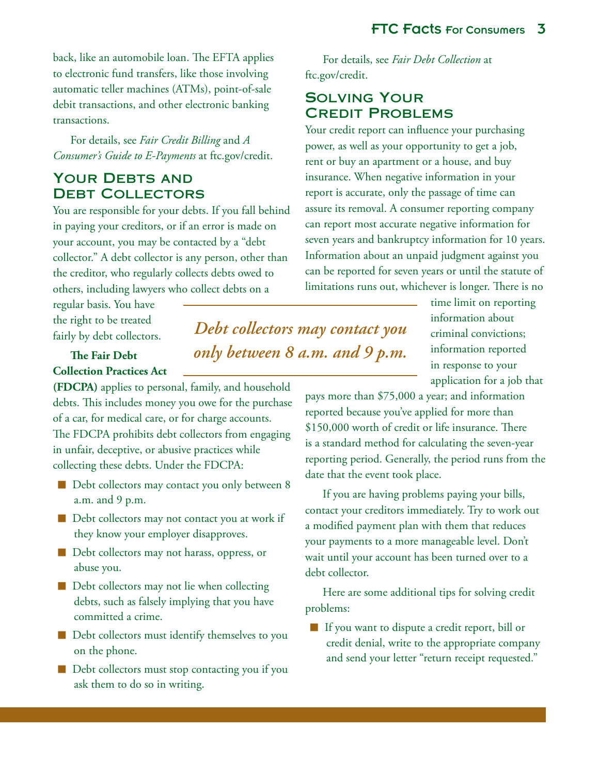back, like an automobile loan. The EFTA applies to electronic fund transfers, like those involving automatic teller machines (ATMs), point-of-sale debit transactions, and other electronic banking transactions.

For details, see *Fair Credit Billing* and *A Consumer's Guide to E-Payments* at ftc.gov/credit.

### YOUR DEBTS AND Debt Collectors

You are responsible for your debts. If you fall behind in paying your creditors, or if an error is made on your account, you may be contacted by a "debt collector." A debt collector is any person, other than the creditor, who regularly collects debts owed to others, including lawyers who collect debts on a

regular basis. You have the right to be treated fairly by debt collectors.

**The Fair Debt Collection Practices Act** 

**(FDCPA)** applies to personal, family, and household debts. This includes money you owe for the purchase of a car, for medical care, or for charge accounts. The FDCPA prohibits debt collectors from engaging in unfair, deceptive, or abusive practices while collecting these debts. Under the FDCPA:

- Debt collectors may contact you only between 8 a.m. and 9 p.m.
- Debt collectors may not contact you at work if they know your employer disapproves.
- Debt collectors may not harass, oppress, or abuse you.
- Debt collectors may not lie when collecting debts, such as falsely implying that you have committed a crime.
- Debt collectors must identify themselves to you on the phone.
- Debt collectors must stop contacting you if you ask them to do so in writing.

For details, see *Fair Debt Collection* at ftc.gov/credit.

#### Solving Your Credit Problems

Your credit report can influence your purchasing power, as well as your opportunity to get a job, rent or buy an apartment or a house, and buy insurance. When negative information in your report is accurate, only the passage of time can assure its removal. A consumer reporting company can report most accurate negative information for seven years and bankruptcy information for 10 years. Information about an unpaid judgment against you can be reported for seven years or until the statute of limitations runs out, whichever is longer. There is no

*Debt collectors may contact you only between 8 a.m. and 9 p.m.* 

time limit on reporting information about criminal convictions; information reported in response to your application for a job that

pays more than \$75,000 a year; and information reported because you've applied for more than \$150,000 worth of credit or life insurance. There is a standard method for calculating the seven-year reporting period. Generally, the period runs from the date that the event took place.

If you are having problems paying your bills, contact your creditors immediately. Try to work out a modified payment plan with them that reduces your payments to a more manageable level. Don't wait until your account has been turned over to a debt collector.

Here are some additional tips for solving credit problems:

■ If you want to dispute a credit report, bill or credit denial, write to the appropriate company and send your letter "return receipt requested."